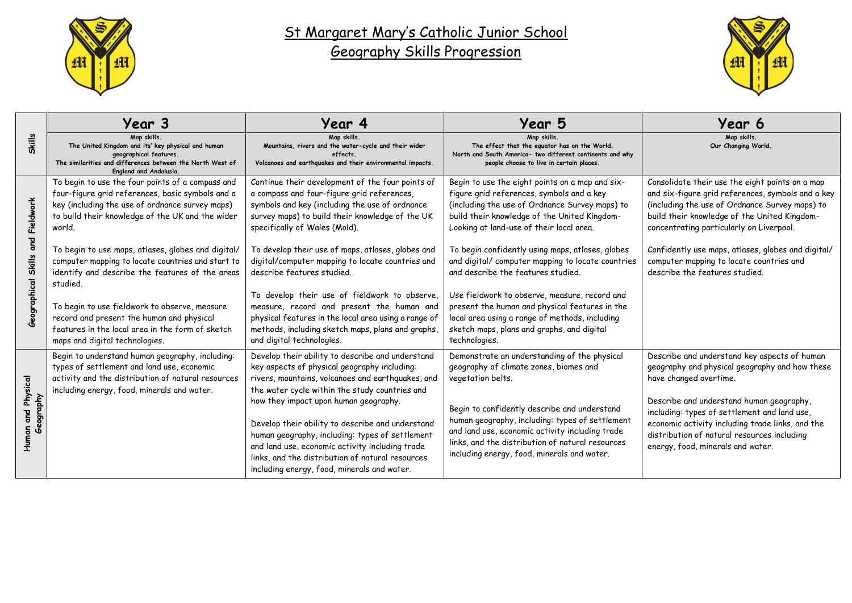

## St Margaret Mary's Catholic Junior School Geography Skills Progression



|                                                       | Year 3                                                                                                                                                                                                                                                                                                                                                                                                                                                                                                                                                                              | Year 4                                                                                                                                                                                                                                                                                                                                                                                                                                                                                                                                                                                                              | Year 5                                                                                                                                                                                                                                                                                                                                                                                                                                                                                                                                                                                                        | Year 6                                                                                                                                                                                                                                                                                                                                                                                 |
|-------------------------------------------------------|-------------------------------------------------------------------------------------------------------------------------------------------------------------------------------------------------------------------------------------------------------------------------------------------------------------------------------------------------------------------------------------------------------------------------------------------------------------------------------------------------------------------------------------------------------------------------------------|---------------------------------------------------------------------------------------------------------------------------------------------------------------------------------------------------------------------------------------------------------------------------------------------------------------------------------------------------------------------------------------------------------------------------------------------------------------------------------------------------------------------------------------------------------------------------------------------------------------------|---------------------------------------------------------------------------------------------------------------------------------------------------------------------------------------------------------------------------------------------------------------------------------------------------------------------------------------------------------------------------------------------------------------------------------------------------------------------------------------------------------------------------------------------------------------------------------------------------------------|----------------------------------------------------------------------------------------------------------------------------------------------------------------------------------------------------------------------------------------------------------------------------------------------------------------------------------------------------------------------------------------|
| <b>Skills</b>                                         | Map skills.<br>The United Kingdom and its' key physical and human<br>geographical features.<br>The similarities and differences between the North West of<br><b>England and Andalusia.</b>                                                                                                                                                                                                                                                                                                                                                                                          | Map skills.<br>Mountains, rivers and the water-cycle and their wider<br>effects.<br>Volcanoes and earthquakes and their environmental impacts.                                                                                                                                                                                                                                                                                                                                                                                                                                                                      | Map skills.<br>The effect that the equator has on the World.<br>North and South America- two different continents and why<br>people choose to live in certain places.                                                                                                                                                                                                                                                                                                                                                                                                                                         | Map skills.<br>Our Changing World.                                                                                                                                                                                                                                                                                                                                                     |
| and Fieldwork<br><b>Skills</b><br><b>Seographical</b> | To begin to use the four points of a compass and<br>four-figure grid references, basic symbols and a<br>key (including the use of ordnance survey maps)<br>to build their knowledge of the UK and the wider<br>world.<br>To begin to use maps, atlases, globes and digital/<br>computer mapping to locate countries and start to<br>identify and describe the features of the areas<br>studied.<br>To begin to use fieldwork to observe, measure<br>record and present the human and physical<br>features in the local area in the form of sketch<br>maps and digital technologies. | Continue their development of the four points of<br>a compass and four-figure grid references,<br>symbols and key (including the use of ordnance<br>survey maps) to build their knowledge of the UK<br>specifically of Wales (Mold).<br>To develop their use of maps, atlases, globes and<br>digital/computer mapping to locate countries and<br>describe features studied.<br>To develop their use of fieldwork to observe,<br>measure, record and present the human and<br>physical features in the local area using a range of<br>methods, including sketch maps, plans and graphs,<br>and digital technologies. | Begin to use the eight points on a map and six-<br>figure grid references, symbols and a key<br>(including the use of Ordnance Survey maps) to<br>build their knowledge of the United Kingdom-<br>Looking at land-use of their local area.<br>To begin confidently using maps, atlases, globes<br>and digital/ computer mapping to locate countries<br>and describe the features studied.<br>Use fieldwork to observe, measure, record and<br>present the human and physical features in the<br>local area using a range of methods, including<br>sketch maps, plans and graphs, and digital<br>technologies. | Consolidate their use the eight points on a map<br>and six-figure grid references, symbols and a key<br>(including the use of Ordnance Survey maps) to<br>build their knowledge of the United Kingdom-<br>concentrating particularly on Liverpool.<br>Confidently use maps, atlases, globes and digital/<br>computer mapping to locate countries and<br>describe the features studied. |
| and Physical<br>Seography<br>Human                    | Begin to understand human geography, including:<br>types of settlement and land use, economic<br>activity and the distribution of natural resources<br>including energy, food, minerals and water.                                                                                                                                                                                                                                                                                                                                                                                  | Develop their ability to describe and understand<br>key aspects of physical geography including:<br>rivers, mountains, volcanoes and earthquakes, and<br>the water cycle within the study countries and<br>how they impact upon human geography.<br>Develop their ability to describe and understand<br>human geography, including: types of settlement<br>and land use, economic activity including trade<br>links, and the distribution of natural resources<br>including energy, food, minerals and water.                                                                                                       | Demonstrate an understanding of the physical<br>geography of climate zones, biomes and<br>vegetation belts.<br>Begin to confidently describe and understand<br>human geography, including: types of settlement<br>and land use, economic activity including trade<br>links, and the distribution of natural resources<br>including energy, food, minerals and water.                                                                                                                                                                                                                                          | Describe and understand key aspects of human<br>geography and physical geography and how these<br>have changed overtime.<br>Describe and understand human geography,<br>including: types of settlement and land use,<br>economic activity including trade links, and the<br>distribution of natural resources including<br>energy, food, minerals and water.                           |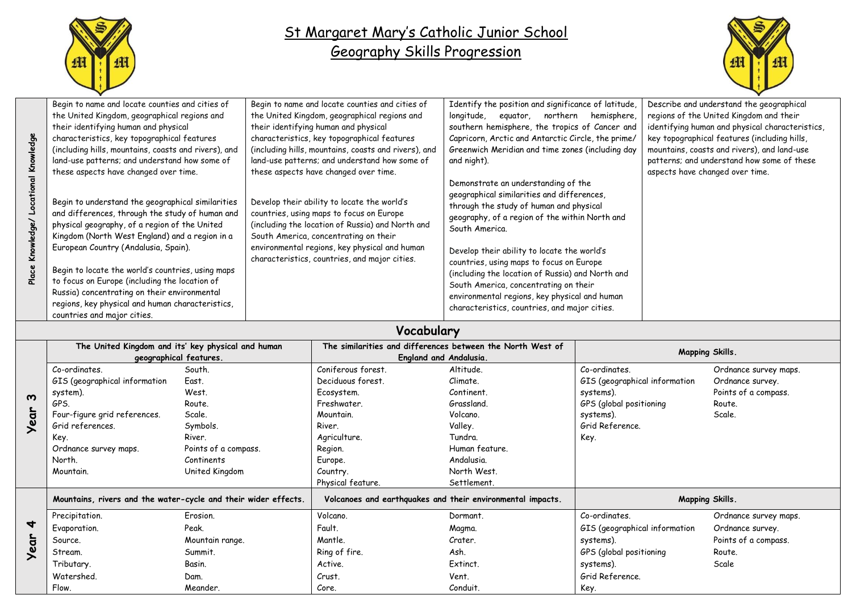

## St Margaret Mary's Catholic Junior School Geography Skills Progression



| န္ပီ         | Begin to name and locate counties and cities of                                                                                                                                                                                                                                                                                                                                                                                                                                                                                                                                                                                            | Begin to name and locate counties and cities of                                                                                                                                                                                                                                                                                                                                                                                          | Identify the position and significance of latitude,                                                                                                                                                                                                                                                                                                                                                                                                                                                                                                           | Describe and understand the geographical                                                                                     |
|--------------|--------------------------------------------------------------------------------------------------------------------------------------------------------------------------------------------------------------------------------------------------------------------------------------------------------------------------------------------------------------------------------------------------------------------------------------------------------------------------------------------------------------------------------------------------------------------------------------------------------------------------------------------|------------------------------------------------------------------------------------------------------------------------------------------------------------------------------------------------------------------------------------------------------------------------------------------------------------------------------------------------------------------------------------------------------------------------------------------|---------------------------------------------------------------------------------------------------------------------------------------------------------------------------------------------------------------------------------------------------------------------------------------------------------------------------------------------------------------------------------------------------------------------------------------------------------------------------------------------------------------------------------------------------------------|------------------------------------------------------------------------------------------------------------------------------|
|              | the United Kingdom, geographical regions and                                                                                                                                                                                                                                                                                                                                                                                                                                                                                                                                                                                               | the United Kingdom, geographical regions and                                                                                                                                                                                                                                                                                                                                                                                             | longitude, equator, northern hemisphere,                                                                                                                                                                                                                                                                                                                                                                                                                                                                                                                      | regions of the United Kingdom and their                                                                                      |
|              | their identifying human and physical                                                                                                                                                                                                                                                                                                                                                                                                                                                                                                                                                                                                       | their identifying human and physical                                                                                                                                                                                                                                                                                                                                                                                                     | southern hemisphere, the tropics of Cancer and                                                                                                                                                                                                                                                                                                                                                                                                                                                                                                                | identifying human and physical characteristics,                                                                              |
|              | characteristics, key topographical features                                                                                                                                                                                                                                                                                                                                                                                                                                                                                                                                                                                                | characteristics, key topographical features                                                                                                                                                                                                                                                                                                                                                                                              | Capricorn, Arctic and Antarctic Circle, the prime/                                                                                                                                                                                                                                                                                                                                                                                                                                                                                                            | key topographical features (including hills,                                                                                 |
| န္တ<br>Place | (including hills, mountains, coasts and rivers), and<br>land-use patterns; and understand how some of<br>these aspects have changed over time.<br>Begin to understand the geographical similarities<br>and differences, through the study of human and<br>physical geography, of a region of the United<br>Kingdom (North West England) and a region in a<br>European Country (Andalusia, Spain).<br>Begin to locate the world's countries, using maps<br>to focus on Europe (including the location of<br>Russia) concentrating on their environmental<br>regions, key physical and human characteristics,<br>countries and major cities. | (including hills, mountains, coasts and rivers), and<br>land-use patterns; and understand how some of<br>these aspects have changed over time.<br>Develop their ability to locate the world's<br>countries, using maps to focus on Europe<br>(including the location of Russia) and North and<br>South America, concentrating on their<br>environmental regions, key physical and human<br>characteristics, countries, and major cities. | Greenwich Meridian and time zones (including day<br>and night).<br>Demonstrate an understanding of the<br>geographical similarities and differences,<br>through the study of human and physical<br>geography, of a region of the within North and<br>South America.<br>Develop their ability to locate the world's<br>countries, using maps to focus on Europe<br>(including the location of Russia) and North and<br>South America, concentrating on their<br>environmental regions, key physical and human<br>characteristics, countries, and major cities. | mountains, coasts and rivers), and land-use<br>patterns; and understand how some of these<br>aspects have changed over time. |

## **Vocabulary**

|                                      | The United Kingdom and its' key physical and human<br>geographical features. |                      | The similarities and differences between the North West of<br><b>England and Andalusia.</b> |                | <b>Mapping Skills.</b>        |                       |  |  |
|--------------------------------------|------------------------------------------------------------------------------|----------------------|---------------------------------------------------------------------------------------------|----------------|-------------------------------|-----------------------|--|--|
| $\boldsymbol{\omega}$<br><b>Year</b> | Co-ordinates.                                                                | South.               | Coniferous forest.                                                                          | Altitude.      | Co-ordinates.                 | Ordnance survey maps. |  |  |
|                                      | GIS (geographical information                                                | East.                | Deciduous forest.                                                                           | Climate.       | GIS (geographical information | Ordnance survey.      |  |  |
|                                      | system).                                                                     | West.                | Ecosystem.                                                                                  | Continent.     | systems).                     | Points of a compass.  |  |  |
|                                      | GPS.                                                                         | Route.               | Freshwater.                                                                                 | Grassland.     | GPS (global positioning       | Route.                |  |  |
|                                      | Four-figure grid references.                                                 | Scale.               | Mountain.                                                                                   | Volcano.       | systems).                     | Scale.                |  |  |
|                                      | Grid references.                                                             | Symbols.             | River.                                                                                      | Valley.        | Grid Reference.               |                       |  |  |
|                                      | Key.                                                                         | River.               | Agriculture.                                                                                | Tundra.        | Key.                          |                       |  |  |
|                                      | Ordnance survey maps.                                                        | Points of a compass. | Region.                                                                                     | Human feature. |                               |                       |  |  |
|                                      | North.                                                                       | Continents           | Europe.                                                                                     | Andalusia.     |                               |                       |  |  |
|                                      | Mountain.                                                                    | United Kingdom       | Country.                                                                                    | North West.    |                               |                       |  |  |
|                                      |                                                                              |                      | Physical feature.                                                                           | Settlement.    |                               |                       |  |  |
|                                      | Mountains, rivers and the water-cycle and their wider effects.               |                      | Volcanoes and earthquakes and their environmental impacts.                                  |                | <b>Mapping Skills.</b>        |                       |  |  |
| $\blacktriangleleft$<br><b>Year</b>  | Precipitation.                                                               | Erosion.             | Volcano.                                                                                    | Dormant.       | Co-ordinates.                 | Ordnance survey maps. |  |  |
|                                      | Evaporation.                                                                 | Peak.                | Fault.                                                                                      | Magma.         | GIS (geographical information | Ordnance survey.      |  |  |
|                                      | Source.                                                                      | Mountain range.      | Mantle.                                                                                     | Crater.        | systems).                     | Points of a compass.  |  |  |
|                                      | Stream.                                                                      | Summit.              | Ring of fire.                                                                               | Ash.           | GPS (global positioning       | Route.                |  |  |
|                                      | Tributary.                                                                   | Basin.               | Active.                                                                                     | Extinct.       | systems).                     | Scale                 |  |  |
|                                      | Watershed.                                                                   | Dam.                 | Crust.                                                                                      | Vent.          | Grid Reference.               |                       |  |  |
|                                      | Flow.                                                                        | Meander.             | Core.                                                                                       | Conduit.       | Key.                          |                       |  |  |